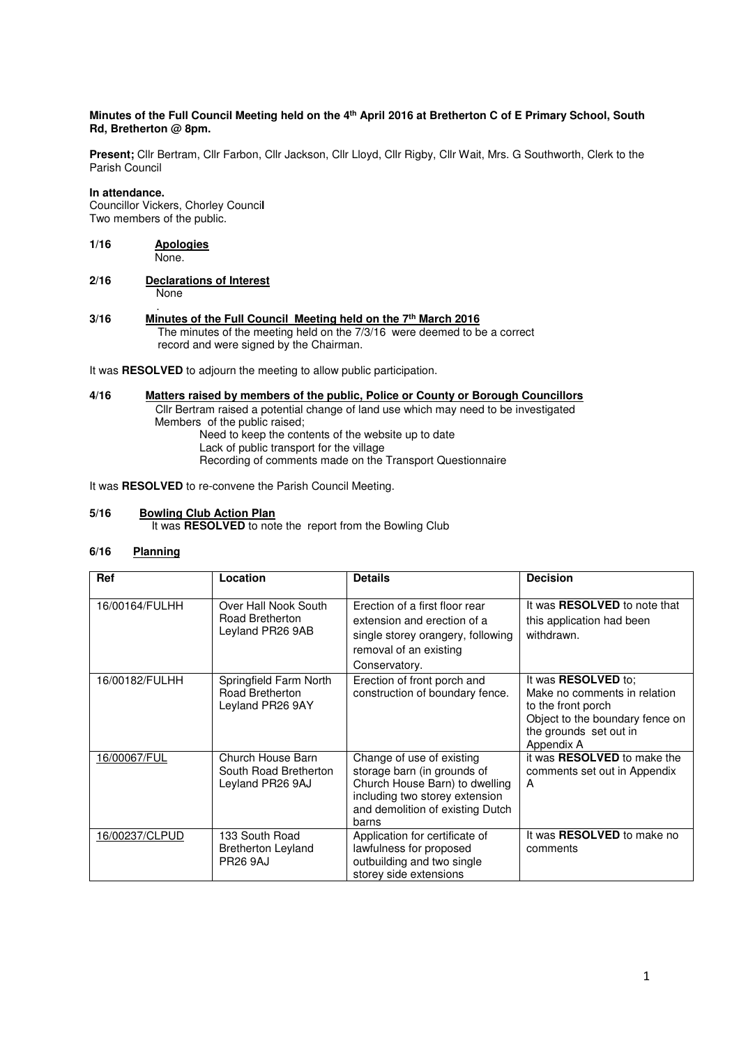## **Minutes of the Full Council Meeting held on the 4th April 2016 at Bretherton C of E Primary School, South Rd, Bretherton @ 8pm.**

Present; Cllr Bertram, Cllr Farbon, Cllr Jackson, Cllr Lloyd, Cllr Rigby, Cllr Wait, Mrs. G Southworth, Clerk to the Parish Council

## **In attendance.**

Councillor Vickers, Chorley Counci**l**  Two members of the public.

## **1/16 Apologies** None.

- 
- **2/16 Declarations of Interest None**

## . **3/16 Minutes of the Full Council Meeting held on the 7th March 2016**  The minutes of the meeting held on the 7/3/16 were deemed to be a correct record and were signed by the Chairman.

It was **RESOLVED** to adjourn the meeting to allow public participation.

## **4/16 Matters raised by members of the public, Police or County or Borough Councillors**  Cllr Bertram raised a potential change of land use which may need to be investigated Members of the public raised; Need to keep the contents of the website up to date Lack of public transport for the village Recording of comments made on the Transport Questionnaire

It was **RESOLVED** to re-convene the Parish Council Meeting.

## **5/16 Bowling Club Action Plan**

It was **RESOLVED** to note the report from the Bowling Club

# **6/16 Planning**

| Ref            | Location                                                             | <b>Details</b>                                                                                                                                                            | <b>Decision</b>                                                                                                                                             |
|----------------|----------------------------------------------------------------------|---------------------------------------------------------------------------------------------------------------------------------------------------------------------------|-------------------------------------------------------------------------------------------------------------------------------------------------------------|
| 16/00164/FULHH | Over Hall Nook South<br><b>Road Bretherton</b><br>Leyland PR26 9AB   | Erection of a first floor rear<br>extension and erection of a<br>single storey orangery, following<br>removal of an existing<br>Conservatory.                             | It was <b>RESOLVED</b> to note that<br>this application had been<br>withdrawn.                                                                              |
| 16/00182/FULHH | Springfield Farm North<br><b>Road Bretherton</b><br>Leyland PR26 9AY | Erection of front porch and<br>construction of boundary fence.                                                                                                            | It was <b>RESOLVED</b> to:<br>Make no comments in relation<br>to the front porch<br>Object to the boundary fence on<br>the grounds set out in<br>Appendix A |
| 16/00067/FUL   | Church House Barn<br>South Road Bretherton<br>Leyland PR26 9AJ       | Change of use of existing<br>storage barn (in grounds of<br>Church House Barn) to dwelling<br>including two storey extension<br>and demolition of existing Dutch<br>barns | it was <b>RESOLVED</b> to make the<br>comments set out in Appendix<br>A                                                                                     |
| 16/00237/CLPUD | 133 South Road<br><b>Bretherton Leyland</b><br><b>PR26 9AJ</b>       | Application for certificate of<br>lawfulness for proposed<br>outbuilding and two single<br>storey side extensions                                                         | It was <b>RESOLVED</b> to make no<br>comments                                                                                                               |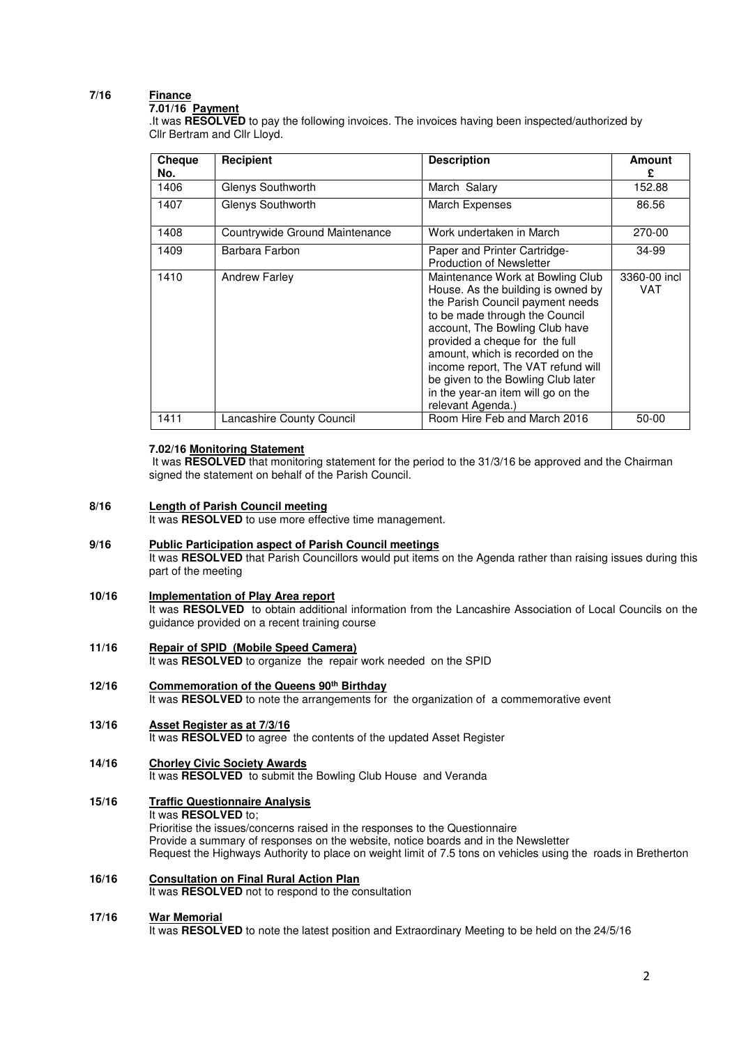## **7/16 Finance**

## **7.01/16 Payment**

.It was **RESOLVED** to pay the following invoices. The invoices having been inspected/authorized by Cllr Bertram and Cllr Lloyd.

| <b>Cheque</b><br>No. | <b>Recipient</b>               | <b>Description</b>                                                                                                                                                                                                                                                                                                                                                                          | Amount<br>£         |
|----------------------|--------------------------------|---------------------------------------------------------------------------------------------------------------------------------------------------------------------------------------------------------------------------------------------------------------------------------------------------------------------------------------------------------------------------------------------|---------------------|
| 1406                 | Glenys Southworth              | March Salary                                                                                                                                                                                                                                                                                                                                                                                | 152.88              |
| 1407                 | Glenys Southworth              | March Expenses                                                                                                                                                                                                                                                                                                                                                                              | 86.56               |
| 1408                 | Countrywide Ground Maintenance | Work undertaken in March                                                                                                                                                                                                                                                                                                                                                                    | 270-00              |
| 1409                 | Barbara Farbon                 | Paper and Printer Cartridge-<br><b>Production of Newsletter</b>                                                                                                                                                                                                                                                                                                                             | 34-99               |
| 1410                 | <b>Andrew Farley</b>           | Maintenance Work at Bowling Club<br>House. As the building is owned by<br>the Parish Council payment needs<br>to be made through the Council<br>account, The Bowling Club have<br>provided a cheque for the full<br>amount, which is recorded on the<br>income report, The VAT refund will<br>be given to the Bowling Club later<br>in the year-an item will go on the<br>relevant Agenda.) | 3360-00 incl<br>VAT |
| 1411                 | Lancashire County Council      | Room Hire Feb and March 2016                                                                                                                                                                                                                                                                                                                                                                | 50-00               |

## **7.02/16 Monitoring Statement**

 It was **RESOLVED** that monitoring statement for the period to the 31/3/16 be approved and the Chairman signed the statement on behalf of the Parish Council.

#### **8/16 Length of Parish Council meeting**

It was **RESOLVED** to use more effective time management.

**9/16 Public Participation aspect of Parish Council meetings** It was **RESOLVED** that Parish Councillors would put items on the Agenda rather than raising issues during this part of the meeting

### **10/16 Implementation of Play Area report**  It was **RESOLVED** to obtain additional information from the Lancashire Association of Local Councils on the guidance provided on a recent training course

- **11/16 Repair of SPID (Mobile Speed Camera)**  It was **RESOLVED** to organize the repair work needed on the SPID
- **12/16 Commemoration of the Queens 90th Birthday**  It was RESOLVED to note the arrangements for the organization of a commemorative event
- **13/16 Asset Register as at 7/3/16**  It was **RESOLVED** to agree the contents of the updated Asset Register
- **14/16 Chorley Civic Society Awards**  It was **RESOLVED** to submit the Bowling Club House and Veranda
- **15/16 Traffic Questionnaire Analysis**  It was **RESOLVED** to; Prioritise the issues/concerns raised in the responses to the Questionnaire Provide a summary of responses on the website, notice boards and in the Newsletter Request the Highways Authority to place on weight limit of 7.5 tons on vehicles using the roads in Bretherton
- **16/16 Consultation on Final Rural Action Plan**  It was **RESOLVED** not to respond to the consultation

## **17/16 War Memorial**

It was **RESOLVED** to note the latest position and Extraordinary Meeting to be held on the 24/5/16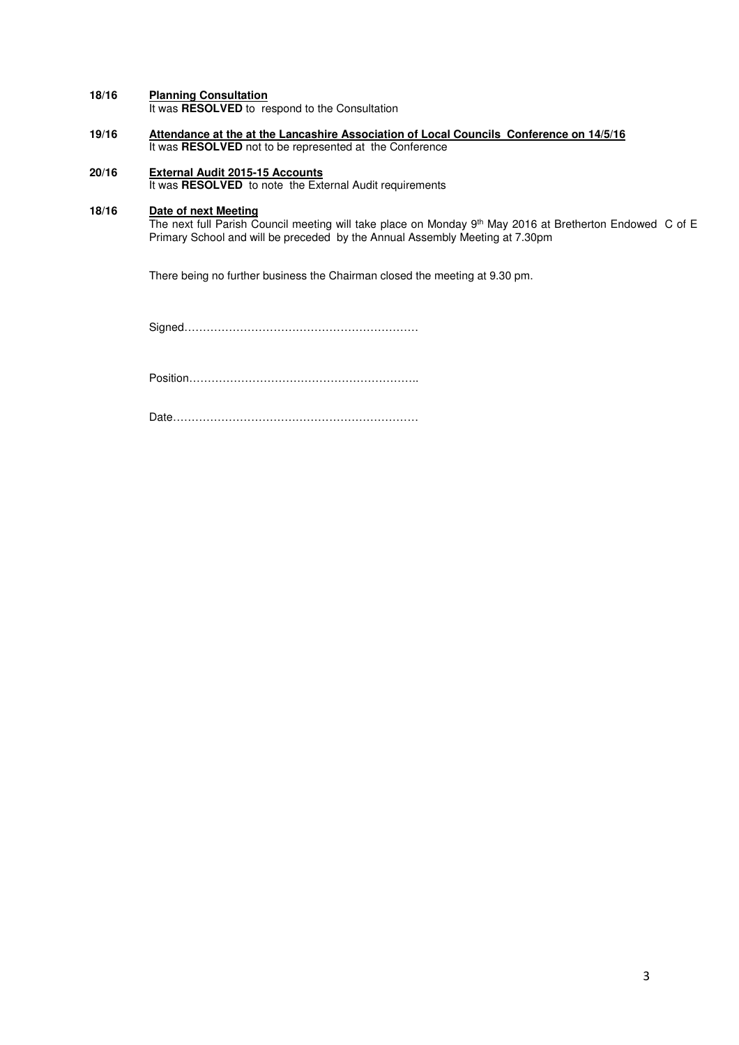#### **18/16 Planning Consultation**

It was **RESOLVED** to respond to the Consultation

**19/16 Attendance at the at the Lancashire Association of Local Councils Conference on 14/5/16**  It was **RESOLVED** not to be represented at the Conference

#### **20/16 External Audit 2015-15 Accounts**  It was **RESOLVED** to note the External Audit requirements

# **18/16**

**Date of next Meeting**  The next full Parish Council meeting will take place on Monday 9<sup>th</sup> May 2016 at Bretherton Endowed C of E Primary School and will be preceded by the Annual Assembly Meeting at 7.30pm

There being no further business the Chairman closed the meeting at 9.30 pm.

Signed………………………………………………………

Position……………………………………………………..

Date…………………………………………………………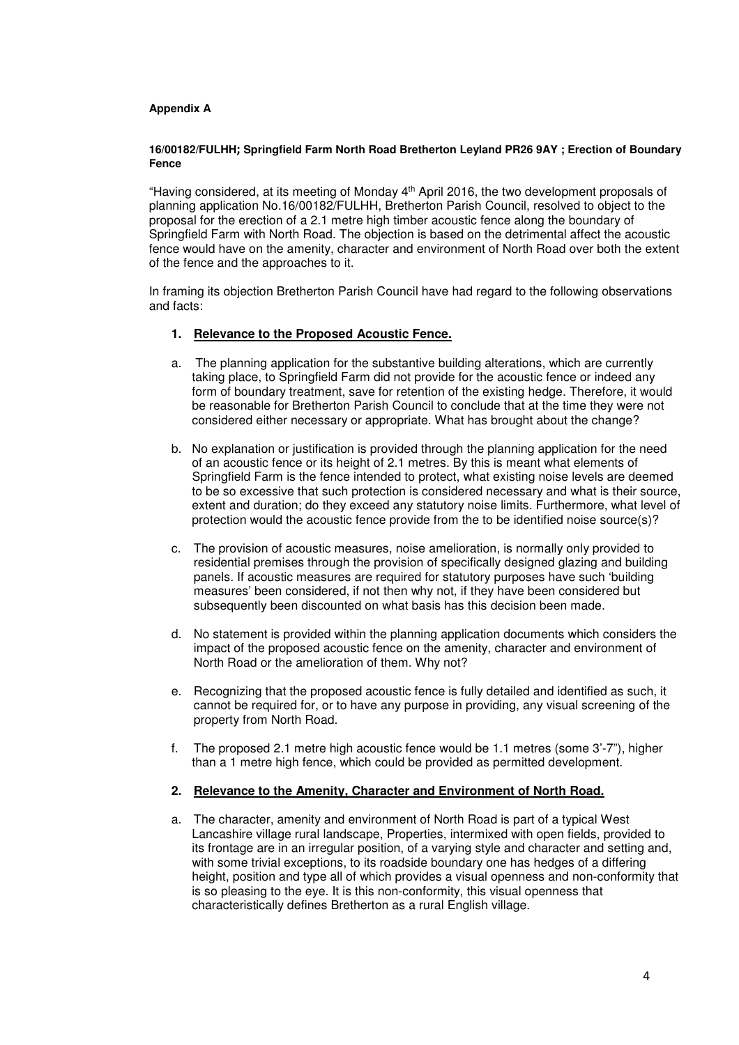## **Appendix A**

## **16/00182/FULHH; Springfield Farm North Road Bretherton Leyland PR26 9AY ; Erection of Boundary Fence**

"Having considered, at its meeting of Monday 4th April 2016, the two development proposals of planning application No.16/00182/FULHH, Bretherton Parish Council, resolved to object to the proposal for the erection of a 2.1 metre high timber acoustic fence along the boundary of Springfield Farm with North Road. The objection is based on the detrimental affect the acoustic fence would have on the amenity, character and environment of North Road over both the extent of the fence and the approaches to it.

In framing its objection Bretherton Parish Council have had regard to the following observations and facts:

## **1. Relevance to the Proposed Acoustic Fence.**

- a. The planning application for the substantive building alterations, which are currently taking place, to Springfield Farm did not provide for the acoustic fence or indeed any form of boundary treatment, save for retention of the existing hedge. Therefore, it would be reasonable for Bretherton Parish Council to conclude that at the time they were not considered either necessary or appropriate. What has brought about the change?
- b. No explanation or justification is provided through the planning application for the need of an acoustic fence or its height of 2.1 metres. By this is meant what elements of Springfield Farm is the fence intended to protect, what existing noise levels are deemed to be so excessive that such protection is considered necessary and what is their source, extent and duration; do they exceed any statutory noise limits. Furthermore, what level of protection would the acoustic fence provide from the to be identified noise source(s)?
- c. The provision of acoustic measures, noise amelioration, is normally only provided to residential premises through the provision of specifically designed glazing and building panels. If acoustic measures are required for statutory purposes have such 'building measures' been considered, if not then why not, if they have been considered but subsequently been discounted on what basis has this decision been made.
- d. No statement is provided within the planning application documents which considers the impact of the proposed acoustic fence on the amenity, character and environment of North Road or the amelioration of them. Why not?
- e. Recognizing that the proposed acoustic fence is fully detailed and identified as such, it cannot be required for, or to have any purpose in providing, any visual screening of the property from North Road.
- f. The proposed 2.1 metre high acoustic fence would be 1.1 metres (some 3'-7"), higher than a 1 metre high fence, which could be provided as permitted development.

## **2. Relevance to the Amenity, Character and Environment of North Road.**

a. The character, amenity and environment of North Road is part of a typical West Lancashire village rural landscape, Properties, intermixed with open fields, provided to its frontage are in an irregular position, of a varying style and character and setting and, with some trivial exceptions, to its roadside boundary one has hedges of a differing height, position and type all of which provides a visual openness and non-conformity that is so pleasing to the eye. It is this non-conformity, this visual openness that characteristically defines Bretherton as a rural English village.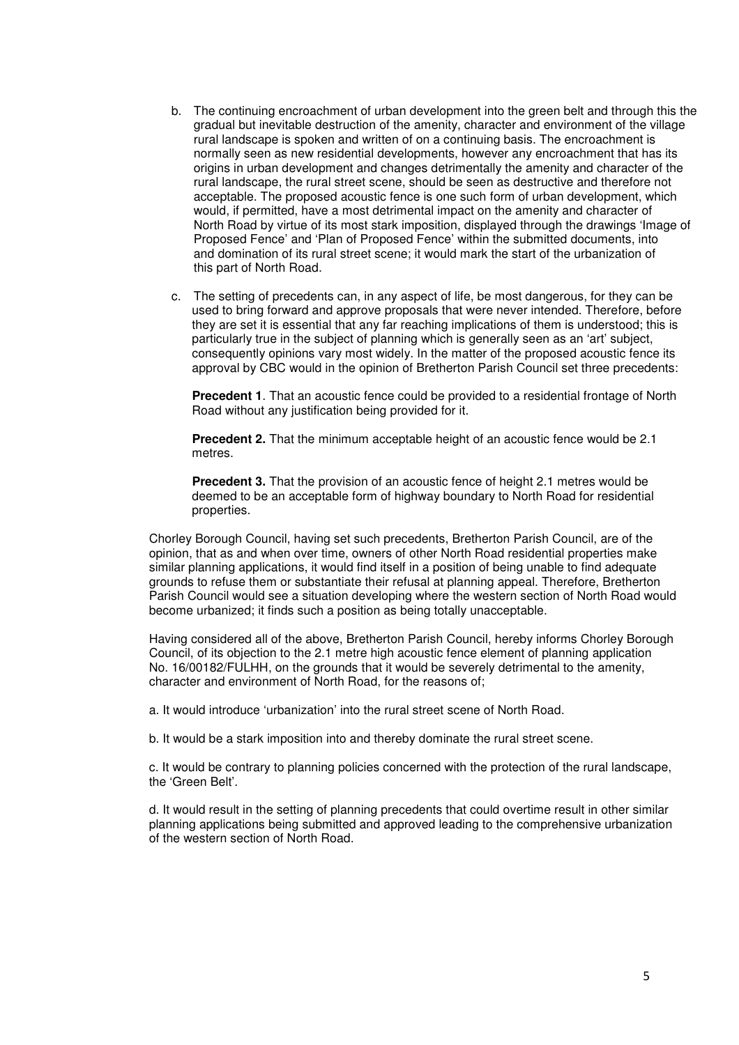- b. The continuing encroachment of urban development into the green belt and through this the gradual but inevitable destruction of the amenity, character and environment of the village rural landscape is spoken and written of on a continuing basis. The encroachment is normally seen as new residential developments, however any encroachment that has its origins in urban development and changes detrimentally the amenity and character of the rural landscape, the rural street scene, should be seen as destructive and therefore not acceptable. The proposed acoustic fence is one such form of urban development, which would, if permitted, have a most detrimental impact on the amenity and character of North Road by virtue of its most stark imposition, displayed through the drawings 'Image of Proposed Fence' and 'Plan of Proposed Fence' within the submitted documents, into and domination of its rural street scene; it would mark the start of the urbanization of this part of North Road.
- c. The setting of precedents can, in any aspect of life, be most dangerous, for they can be used to bring forward and approve proposals that were never intended. Therefore, before they are set it is essential that any far reaching implications of them is understood; this is particularly true in the subject of planning which is generally seen as an 'art' subject, consequently opinions vary most widely. In the matter of the proposed acoustic fence its approval by CBC would in the opinion of Bretherton Parish Council set three precedents:

 **Precedent 1**. That an acoustic fence could be provided to a residential frontage of North Road without any justification being provided for it.

**Precedent 2.** That the minimum acceptable height of an acoustic fence would be 2.1 metres.

 **Precedent 3.** That the provision of an acoustic fence of height 2.1 metres would be deemed to be an acceptable form of highway boundary to North Road for residential properties.

Chorley Borough Council, having set such precedents, Bretherton Parish Council, are of the opinion, that as and when over time, owners of other North Road residential properties make similar planning applications, it would find itself in a position of being unable to find adequate grounds to refuse them or substantiate their refusal at planning appeal. Therefore, Bretherton Parish Council would see a situation developing where the western section of North Road would become urbanized; it finds such a position as being totally unacceptable.

Having considered all of the above, Bretherton Parish Council, hereby informs Chorley Borough Council, of its objection to the 2.1 metre high acoustic fence element of planning application No. 16/00182/FULHH, on the grounds that it would be severely detrimental to the amenity, character and environment of North Road, for the reasons of;

a. It would introduce 'urbanization' into the rural street scene of North Road.

b. It would be a stark imposition into and thereby dominate the rural street scene.

c. It would be contrary to planning policies concerned with the protection of the rural landscape, the 'Green Belt'.

d. It would result in the setting of planning precedents that could overtime result in other similar planning applications being submitted and approved leading to the comprehensive urbanization of the western section of North Road.